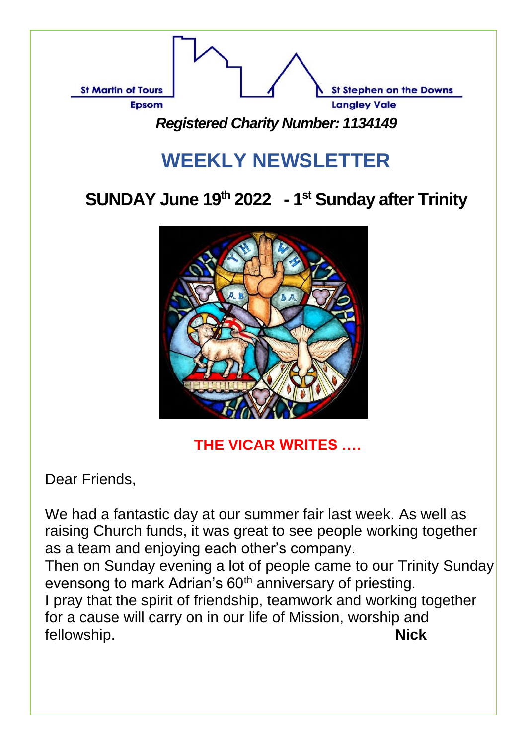

# **WEEKLY NEWSLETTER**

## **SUNDAY June 19 th 2022 - 1 st Sunday after Trinity**



**THE VICAR WRITES ….** 

Dear Friends,

We had a fantastic day at our summer fair last week. As well as raising Church funds, it was great to see people working together as a team and enjoying each other's company.

Then on Sunday evening a lot of people came to our Trinity Sunday evensong to mark Adrian's 60<sup>th</sup> anniversary of priesting. I pray that the spirit of friendship, teamwork and working together for a cause will carry on in our life of Mission, worship and fellowship. **Nick**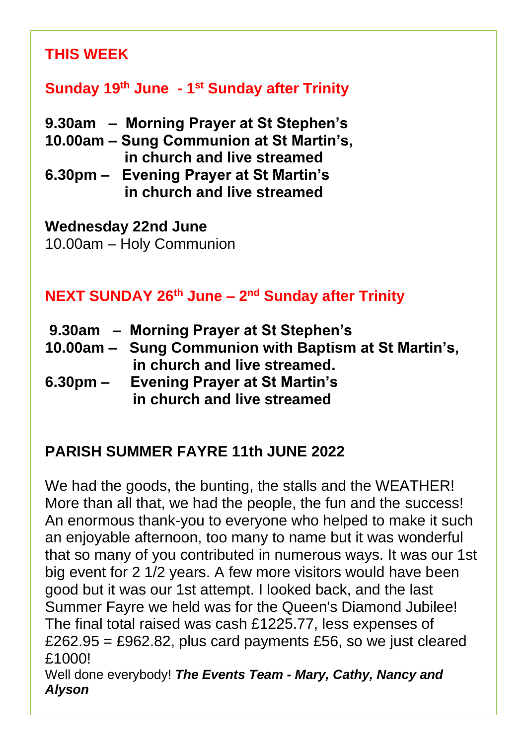#### **THIS WEEK**

#### **Sunday 19 th June - 1 st Sunday after Trinity**

- **9.30am Morning Prayer at St Stephen's**
- **10.00am – Sung Communion at St Martin's, in church and live streamed**
- **6.30pm Evening Prayer at St Martin's in church and live streamed**

#### **Wednesday 22nd June**

10.00am – Holy Communion

#### **NEXT SUNDAY 26th June – 2 nd Sunday after Trinity**

- **9.30am Morning Prayer at St Stephen's**
- **10.00am Sung Communion with Baptism at St Martin's, in church and live streamed.**
- **6.30pm Evening Prayer at St Martin's in church and live streamed**

#### **PARISH SUMMER FAYRE 11th JUNE 2022**

We had the goods, the bunting, the stalls and the WEATHER! More than all that, we had the people, the fun and the success! An enormous thank-you to everyone who helped to make it such an enjoyable afternoon, too many to name but it was wonderful that so many of you contributed in numerous ways. It was our 1st big event for 2 1/2 years. A few more visitors would have been good but it was our 1st attempt. I looked back, and the last Summer Fayre we held was for the Queen's Diamond Jubilee! The final total raised was cash £1225.77, less expenses of £262.95 = £962.82, plus card payments £56, so we just cleared £1000! Well done everybody! *The Events Team - Mary, Cathy, Nancy and* 

#### *Alyson*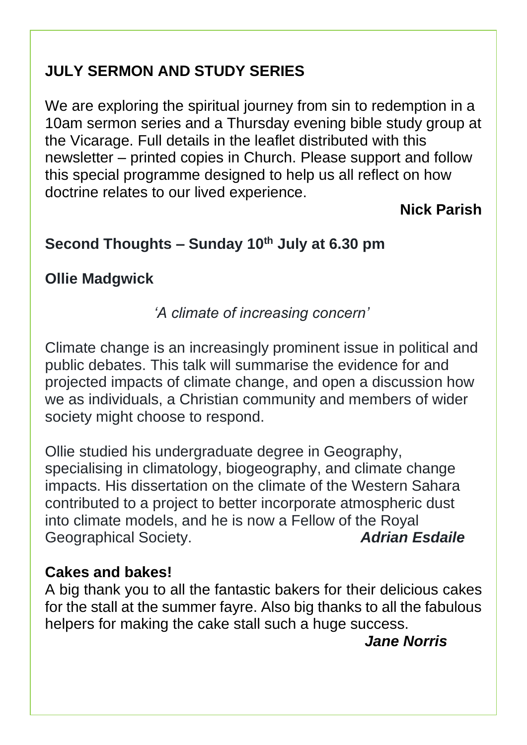#### **JULY SERMON AND STUDY SERIES**

We are exploring the spiritual journey from sin to redemption in a 10am sermon series and a Thursday evening bible study group at the Vicarage. Full details in the leaflet distributed with this newsletter – printed copies in Church. Please support and follow this special programme designed to help us all reflect on how doctrine relates to our lived experience.

#### **Nick Parish**

#### **Second Thoughts – Sunday 10th July at 6.30 pm**

#### **Ollie Madgwick**

#### *'A climate of increasing concern'*

Climate change is an increasingly prominent issue in political and public debates. This talk will summarise the evidence for and projected impacts of climate change, and open a discussion how we as individuals, a Christian community and members of wider society might choose to respond.

Ollie studied his undergraduate degree in Geography, specialising in climatology, biogeography, and climate change impacts. His dissertation on the climate of the Western Sahara contributed to a project to better incorporate atmospheric dust into climate models, and he is now a Fellow of the Royal Geographical Society. *Adrian Esdaile*

#### **Cakes and bakes!**

A big thank you to all the fantastic bakers for their delicious cakes for the stall at the summer fayre. Also big thanks to all the fabulous helpers for making the cake stall such a huge success.

*Jane Norris*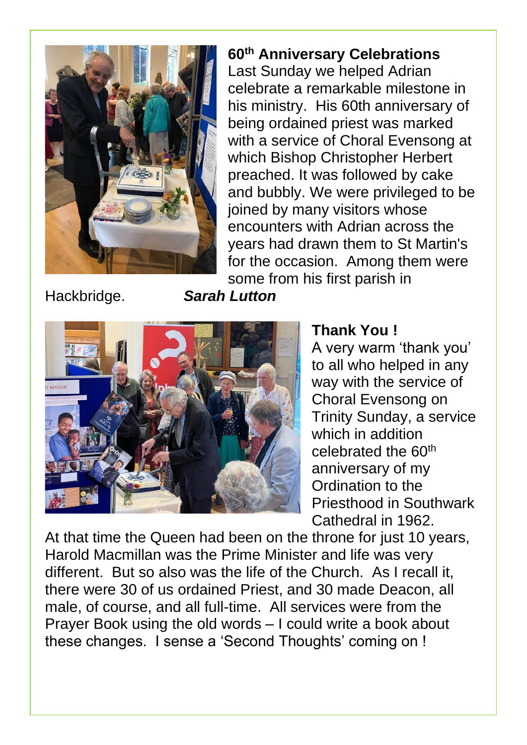

#### **60th Anniversary Celebrations**

Last Sunday we helped Adrian celebrate a remarkable milestone in his ministry. His 60th anniversary of being ordained priest was marked with a service of Choral Evensong at which Bishop Christopher Herbert preached. It was followed by cake and bubbly. We were privileged to be joined by many visitors whose encounters with Adrian across the years had drawn them to St Martin's for the occasion. Among them were some from his first parish in

Hackbridge. *Sarah Lutton*



#### **Thank You !**

A very warm 'thank you' to all who helped in any way with the service of Choral Evensong on Trinity Sunday, a service which in addition celebrated the 60<sup>th</sup> anniversary of my Ordination to the Priesthood in Southwark Cathedral in 1962.

At that time the Queen had been on the throne for just 10 years, Harold Macmillan was the Prime Minister and life was very different. But so also was the life of the Church. As I recall it, there were 30 of us ordained Priest, and 30 made Deacon, all male, of course, and all full-time. All services were from the Prayer Book using the old words – I could write a book about these changes. I sense a 'Second Thoughts' coming on !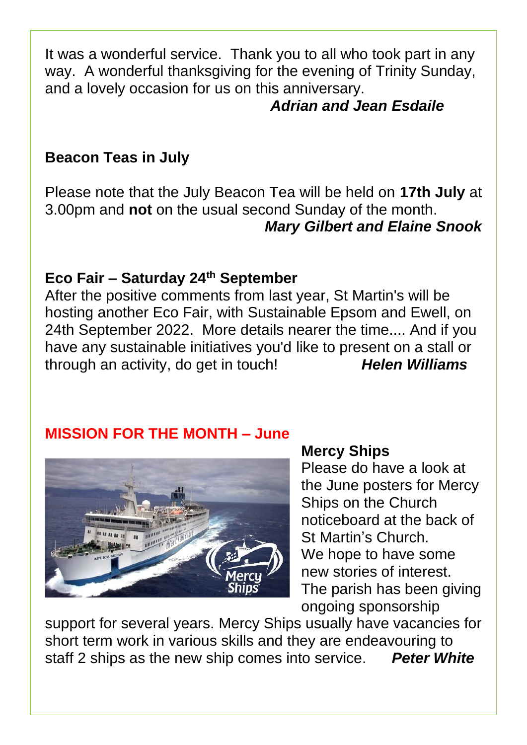It was a wonderful service. Thank you to all who took part in any way. A wonderful thanksgiving for the evening of Trinity Sunday, and a lovely occasion for us on this anniversary.

#### *Adrian and Jean Esdaile*

#### **Beacon Teas in July**

Please note that the July Beacon Tea will be held on **17th July** at 3.00pm and **not** on the usual second Sunday of the month. *Mary Gilbert and Elaine Snook*

#### **Eco Fair – Saturday 24th September**

After the positive comments from last year, St Martin's will be hosting another Eco Fair, with Sustainable Epsom and Ewell, on 24th September 2022. More details nearer the time.... And if you have any sustainable initiatives you'd like to present on a stall or through an activity, do get in touch! *Helen Williams*

#### **MISSION FOR THE MONTH – June**



#### **Mercy Ships**

Please do have a look at the June posters for Mercy Ships on the Church noticeboard at the back of St Martin's Church. We hope to have some new stories of interest. The parish has been giving ongoing sponsorship

support for several years. Mercy Ships usually have vacancies for short term work in various skills and they are endeavouring to staff 2 ships as the new ship comes into service. *Peter White*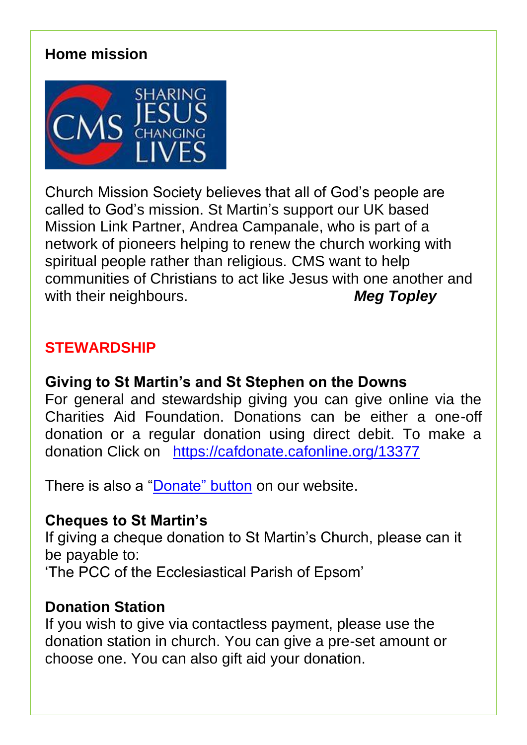#### **Home mission**



Church Mission Society believes that all of God's people are called to God's mission. St Martin's support our UK based Mission Link Partner, Andrea Campanale, who is part of a network of pioneers helping to renew the church working with spiritual people rather than religious. CMS want to help communities of Christians to act like Jesus with one another and with their neighbours. *Meg Topley*

#### **STEWARDSHIP**

#### **Giving to St Martin's and St Stephen on the Downs**

For general and stewardship giving you can give online via the Charities Aid Foundation. Donations can be either a one-off donation or a regular donation using direct debit. To make a donation Click on <https://cafdonate.cafonline.org/13377>

There is also a ["Donate" button](https://cafdonate.cafonline.org/13377#!/DonationDetails) on our website.

#### **Cheques to St Martin's**

If giving a cheque donation to St Martin's Church, please can it be payable to: 'The PCC of the Ecclesiastical Parish of Epsom'

#### **Donation Station**

If you wish to give via contactless payment, please use the donation station in church. You can give a pre-set amount or choose one. You can also gift aid your donation.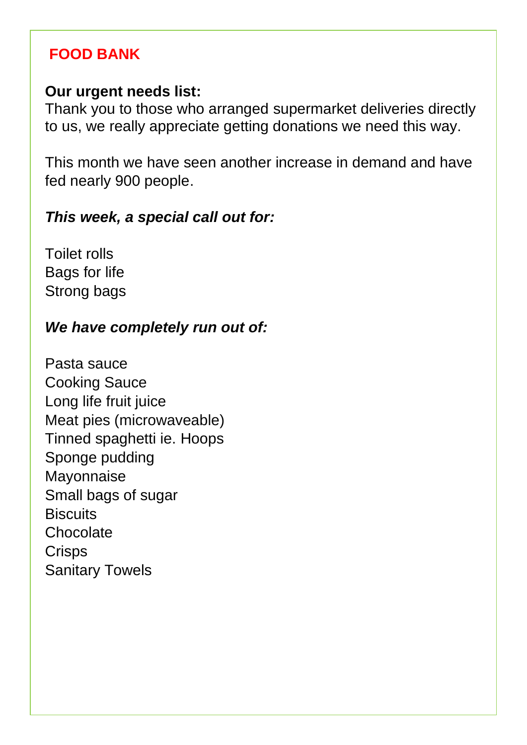#### **FOOD BANK**

#### **Our urgent needs list:**

Thank you to those who arranged supermarket deliveries directly to us, we really appreciate getting donations we need this way.

This month we have seen another increase in demand and have fed nearly 900 people.

#### *This week, a special call out for:*

Toilet rolls Bags for life Strong bags

#### *We have completely run out of:*

Pasta sauce Cooking Sauce Long life fruit juice Meat pies (microwaveable) Tinned spaghetti ie. Hoops Sponge pudding Mayonnaise Small bags of sugar **Biscuits** Chocolate **Crisps** Sanitary Towels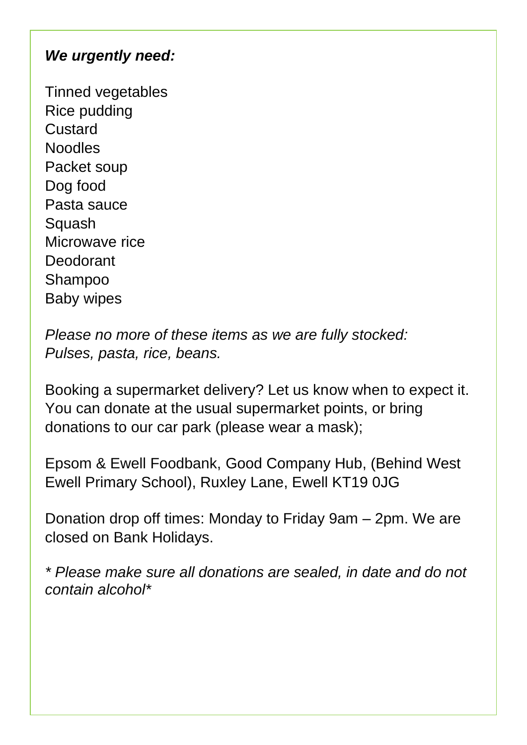#### *We urgently need:*

Tinned vegetables Rice pudding Custard Noodles Packet soup Dog food Pasta sauce **Squash** Microwave rice **Deodorant** Shampoo Baby wipes

*Please no more of these items as we are fully stocked: Pulses, pasta, rice, beans.*

Booking a supermarket delivery? Let us know when to expect it. You can donate at the usual supermarket points, or bring donations to our car park (please wear a mask);

Epsom & Ewell Foodbank, Good Company Hub, (Behind West Ewell Primary School), Ruxley Lane, Ewell KT19 0JG

Donation drop off times: Monday to Friday 9am – 2pm. We are closed on Bank Holidays.

*\* Please make sure all donations are sealed, in date and do not contain alcohol\**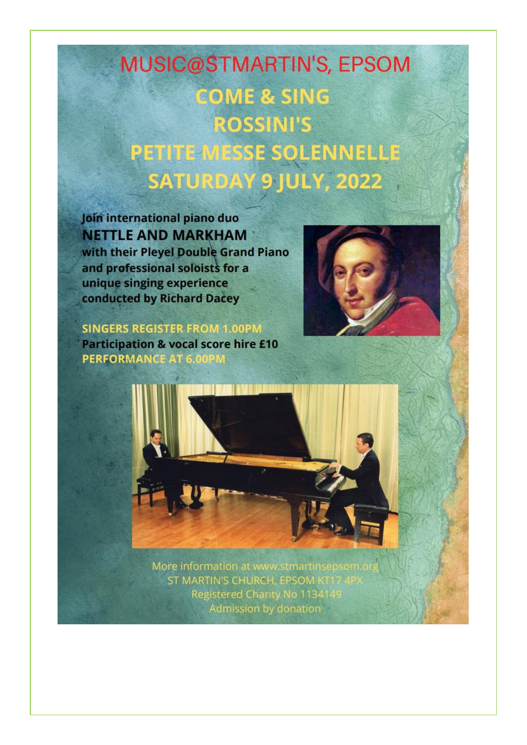# **MUSIC@STMARTIN'S, EPSOM COME & SING ROSSINI'S** PETITE MESSE SOLENNELLE SATURDAY 9 JULY, 2022

Join international piano duo **NETTLE AND MARKHAM** with their Pleyel Double Grand Piano and professional soloists for a unique singing experience conducted by Richard Dacey

**SINGERS REGISTER FROM 1.00PM Participation & vocal score hire £10 PERFORMANCE AT 6.00PM** 





More information at www.stmartinsepson ST MARTIN'S CHURCH, EPSOM K Registered Charity No 1134149 Admission by donation